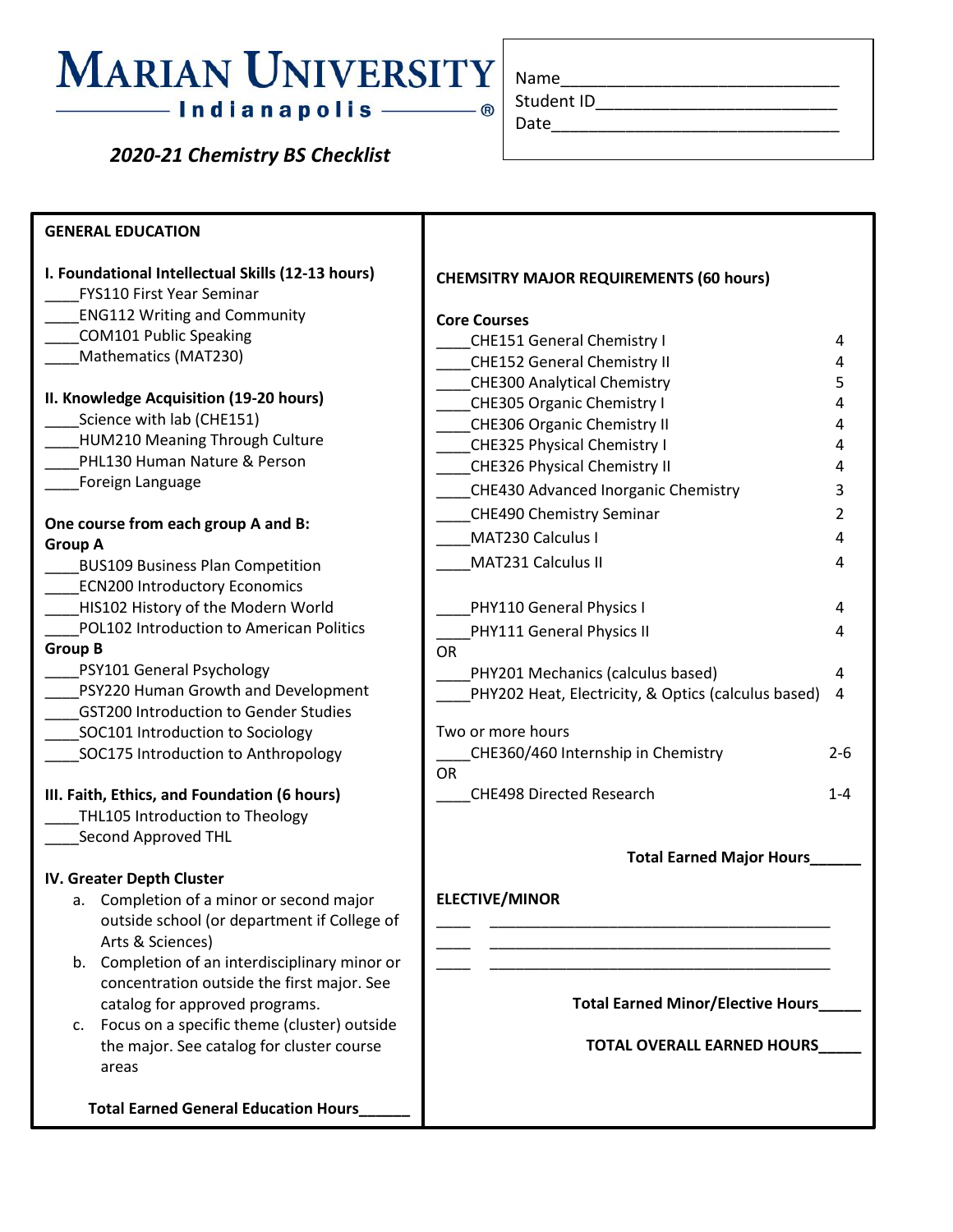## **MARIAN UNIVERSITY**

 *2020-21 Chemistry BS Checklist*

| Name       |  |  |
|------------|--|--|
| Student ID |  |  |

Date\_\_\_\_\_\_\_\_\_\_\_\_\_\_\_\_\_\_\_\_\_\_\_\_\_\_\_\_\_\_\_

**GENERAL EDUCATION I. Foundational Intellectual Skills (12-13 hours)** \_\_\_\_FYS110 First Year Seminar \_\_\_\_ENG112 Writing and Community \_\_\_\_COM101 Public Speaking \_\_\_\_Mathematics (MAT230) **II. Knowledge Acquisition (19-20 hours)** \_\_\_\_Science with lab (CHE151) \_\_\_\_HUM210 Meaning Through Culture PHL130 Human Nature & Person \_\_\_\_Foreign Language **One course from each group A and B: Group A** \_\_\_\_BUS109 Business Plan Competition ECN200 Introductory Economics HIS102 History of the Modern World \_\_\_\_POL102 Introduction to American Politics **Group B** \_\_\_\_PSY101 General Psychology \_\_\_\_PSY220 Human Growth and Development \_\_\_\_GST200 Introduction to Gender Studies SOC101 Introduction to Sociology \_\_\_\_SOC175 Introduction to Anthropology **III. Faith, Ethics, and Foundation (6 hours)** THL105 Introduction to Theology \_\_\_\_Second Approved THL **IV. Greater Depth Cluster** a. Completion of a minor or second major outside school (or department if College of Arts & Sciences) b. Completion of an interdisciplinary minor or concentration outside the first major. See catalog for approved programs. c. Focus on a specific theme (cluster) outside the major. See catalog for cluster course areas  **Total Earned General Education Hours\_\_\_\_\_\_ CHEMSITRY MAJOR REQUIREMENTS (60 hours) Core Courses** \_\_\_\_CHE151 General Chemistry I 4 \_\_\_\_CHE152 General Chemistry II 4 \_\_\_\_CHE300 Analytical Chemistry 5 \_\_\_\_CHE305 Organic Chemistry I 4 \_\_\_\_CHE306 Organic Chemistry II 4 \_\_\_\_CHE325 Physical Chemistry I 4 \_\_\_\_CHE326 Physical Chemistry II 4 \_\_\_\_CHE430 Advanced Inorganic Chemistry 3 \_\_\_\_CHE490 Chemistry Seminar 2 \_\_\_\_MAT230 Calculus I 4 \_\_\_\_MAT231 Calculus II 4 PHY110 General Physics I 4 PHY111 General Physics II 4 OR \_\_\_\_PHY201 Mechanics (calculus based) 4 PHY202 Heat, Electricity, & Optics (calculus based) 4 Two or more hours \_\_\_\_CHE360/460 Internship in Chemistry 2-6 OR \_\_\_\_CHE498 Directed Research 1-4 **Total Earned Major Hours\_\_\_\_\_\_ ELECTIVE/MINOR** \_\_\_\_ \_\_\_\_\_\_\_\_\_\_\_\_\_\_\_\_\_\_\_\_\_\_\_\_\_\_\_\_\_\_\_\_\_\_\_\_\_\_\_\_ \_\_\_\_ \_\_\_\_\_\_\_\_\_\_\_\_\_\_\_\_\_\_\_\_\_\_\_\_\_\_\_\_\_\_\_\_\_\_\_\_\_\_\_\_ \_\_\_\_ \_\_\_\_\_\_\_\_\_\_\_\_\_\_\_\_\_\_\_\_\_\_\_\_\_\_\_\_\_\_\_\_\_\_\_\_\_\_\_\_ **Total Earned Minor/Elective Hours\_\_\_\_\_ TOTAL OVERALL EARNED HOURS\_\_\_\_\_**